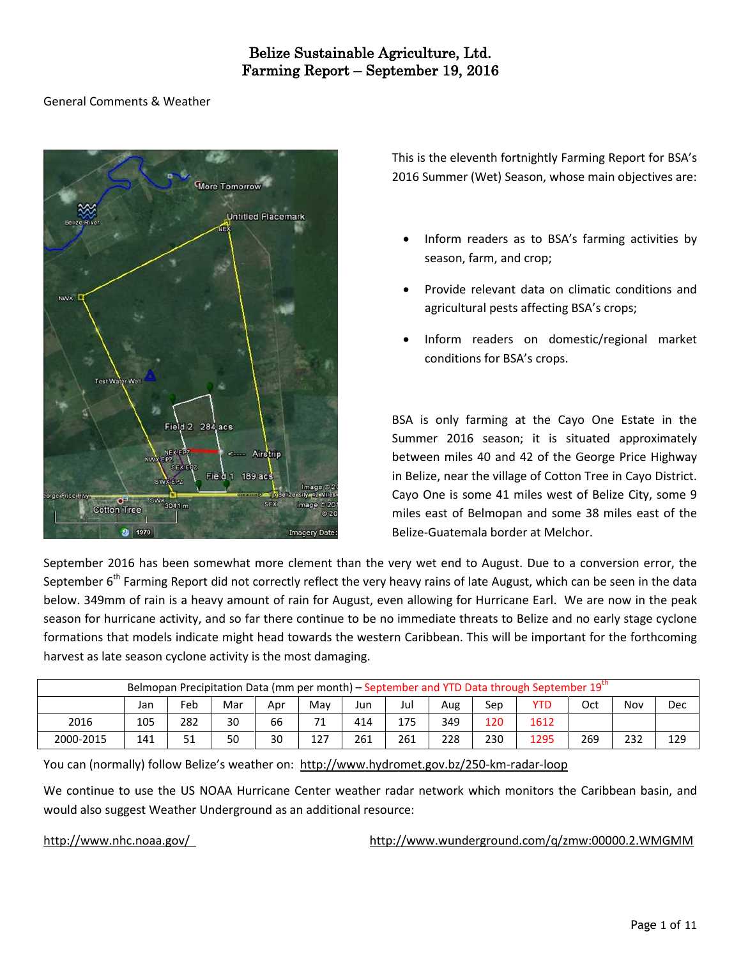# General Comments & Weather



This is the eleventh fortnightly Farming Report for BSA's 2016 Summer (Wet) Season, whose main objectives are:

- Inform readers as to BSA's farming activities by season, farm, and crop;
- Provide relevant data on climatic conditions and agricultural pests affecting BSA's crops;
- Inform readers on domestic/regional market conditions for BSA's crops.

BSA is only farming at the Cayo One Estate in the Summer 2016 season; it is situated approximately between miles 40 and 42 of the George Price Highway in Belize, near the village of Cotton Tree in Cayo District. Cayo One is some 41 miles west of Belize City, some 9 miles east of Belmopan and some 38 miles east of the Belize-Guatemala border at Melchor.

September 2016 has been somewhat more clement than the very wet end to August. Due to a conversion error, the September 6<sup>th</sup> Farming Report did not correctly reflect the very heavy rains of late August, which can be seen in the data below. 349mm of rain is a heavy amount of rain for August, even allowing for Hurricane Earl. We are now in the peak season for hurricane activity, and so far there continue to be no immediate threats to Belize and no early stage cyclone formations that models indicate might head towards the western Caribbean. This will be important for the forthcoming harvest as late season cyclone activity is the most damaging.

| Belmopan Precipitation Data (mm per month) – September and YTD Data through September 19" |     |     |     |     |               |     |     |     |     |      |     |     |     |  |
|-------------------------------------------------------------------------------------------|-----|-----|-----|-----|---------------|-----|-----|-----|-----|------|-----|-----|-----|--|
|                                                                                           | Jan | Feb | Mar | Apr | Mav           | Jun | Jul | Aug | Sep | YTD  | Oct | Nov | Dec |  |
| 2016                                                                                      | 105 | 282 | 30  | 66  | 71<br>$\perp$ | 414 | 175 | 349 | 120 | 1612 |     |     |     |  |
| 2000-2015                                                                                 | 141 |     | 50  | 30  | 127           | 261 | 261 | 228 | 230 | 1295 | 269 | 232 | 129 |  |

You can (normally) follow Belize's weather on: <http://www.hydromet.gov.bz/250-km-radar-loop>

We continue to use the US NOAA Hurricane Center weather radar network which monitors the Caribbean basin, and would also suggest Weather Underground as an additional resource:

<http://www.nhc.noaa.gov/><http://www.wunderground.com/q/zmw:00000.2.WMGMM>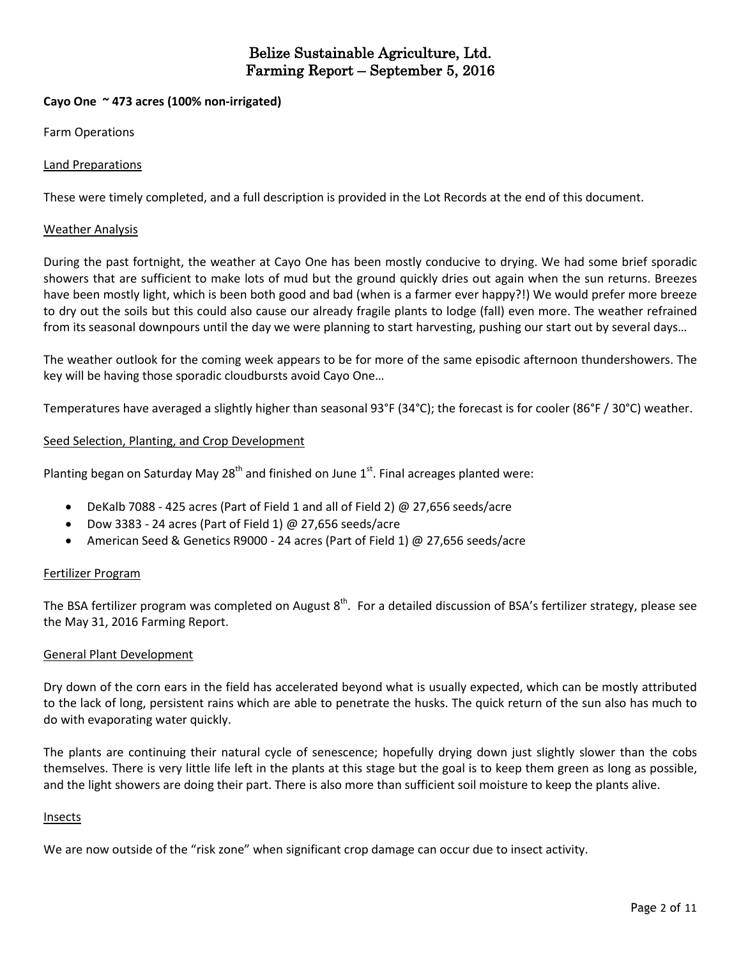# **Cayo One ~ 473 acres (100% non-irrigated)**

Farm Operations

# Land Preparations

These were timely completed, and a full description is provided in the Lot Records at the end of this document.

## Weather Analysis

During the past fortnight, the weather at Cayo One has been mostly conducive to drying. We had some brief sporadic showers that are sufficient to make lots of mud but the ground quickly dries out again when the sun returns. Breezes have been mostly light, which is been both good and bad (when is a farmer ever happy?!) We would prefer more breeze to dry out the soils but this could also cause our already fragile plants to lodge (fall) even more. The weather refrained from its seasonal downpours until the day we were planning to start harvesting, pushing our start out by several days…

The weather outlook for the coming week appears to be for more of the same episodic afternoon thundershowers. The key will be having those sporadic cloudbursts avoid Cayo One…

Temperatures have averaged a slightly higher than seasonal 93°F (34°C); the forecast is for cooler (86°F / 30°C) weather.

### Seed Selection, Planting, and Crop Development

Planting began on Saturday May 28<sup>th</sup> and finished on June 1<sup>st</sup>. Final acreages planted were:

- DeKalb 7088 425 acres (Part of Field 1 and all of Field 2) @ 27,656 seeds/acre
- Dow 3383 24 acres (Part of Field 1)  $\omega$  27,656 seeds/acre
- American Seed & Genetics R9000 24 acres (Part of Field 1) @ 27,656 seeds/acre

# Fertilizer Program

The BSA fertilizer program was completed on August 8<sup>th</sup>. For a detailed discussion of BSA's fertilizer strategy, please see the May 31, 2016 Farming Report.

# General Plant Development

Dry down of the corn ears in the field has accelerated beyond what is usually expected, which can be mostly attributed to the lack of long, persistent rains which are able to penetrate the husks. The quick return of the sun also has much to do with evaporating water quickly.

The plants are continuing their natural cycle of senescence; hopefully drying down just slightly slower than the cobs themselves. There is very little life left in the plants at this stage but the goal is to keep them green as long as possible, and the light showers are doing their part. There is also more than sufficient soil moisture to keep the plants alive.

#### Insects

We are now outside of the "risk zone" when significant crop damage can occur due to insect activity.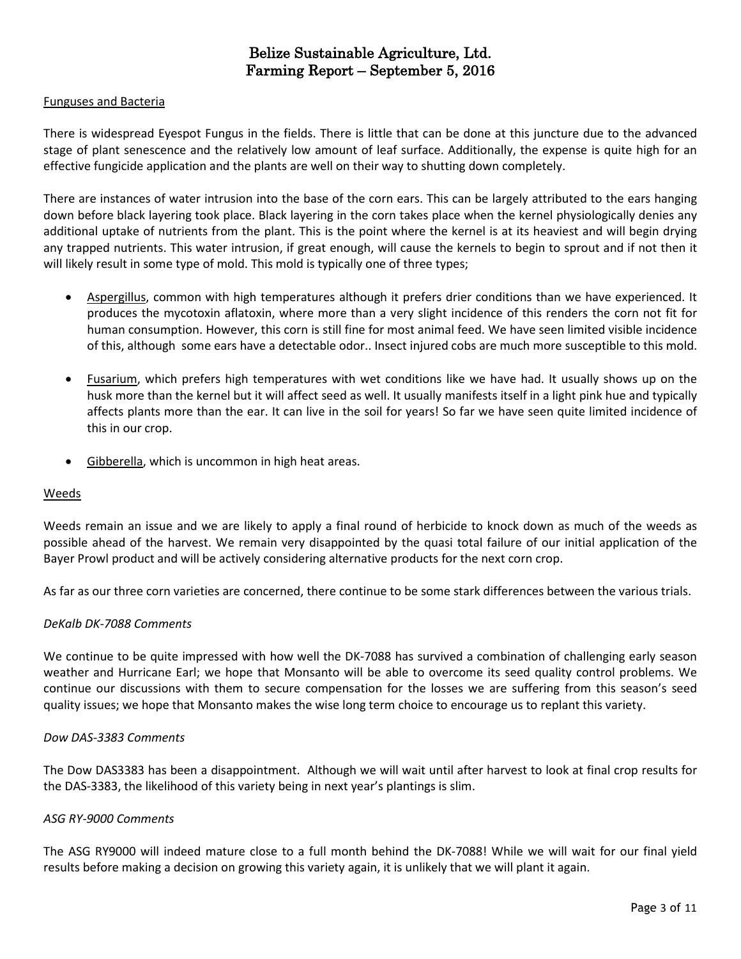## Funguses and Bacteria

There is widespread Eyespot Fungus in the fields. There is little that can be done at this juncture due to the advanced stage of plant senescence and the relatively low amount of leaf surface. Additionally, the expense is quite high for an effective fungicide application and the plants are well on their way to shutting down completely.

There are instances of water intrusion into the base of the corn ears. This can be largely attributed to the ears hanging down before black layering took place. Black layering in the corn takes place when the kernel physiologically denies any additional uptake of nutrients from the plant. This is the point where the kernel is at its heaviest and will begin drying any trapped nutrients. This water intrusion, if great enough, will cause the kernels to begin to sprout and if not then it will likely result in some type of mold. This mold is typically one of three types;

- Aspergillus, common with high temperatures although it prefers drier conditions than we have experienced. It produces the mycotoxin aflatoxin, where more than a very slight incidence of this renders the corn not fit for human consumption. However, this corn is still fine for most animal feed. We have seen limited visible incidence of this, although some ears have a detectable odor.. Insect injured cobs are much more susceptible to this mold.
- Fusarium, which prefers high temperatures with wet conditions like we have had. It usually shows up on the husk more than the kernel but it will affect seed as well. It usually manifests itself in a light pink hue and typically affects plants more than the ear. It can live in the soil for years! So far we have seen quite limited incidence of this in our crop.
- Gibberella, which is uncommon in high heat areas.

#### Weeds

Weeds remain an issue and we are likely to apply a final round of herbicide to knock down as much of the weeds as possible ahead of the harvest. We remain very disappointed by the quasi total failure of our initial application of the Bayer Prowl product and will be actively considering alternative products for the next corn crop.

As far as our three corn varieties are concerned, there continue to be some stark differences between the various trials.

#### *DeKalb DK-7088 Comments*

We continue to be quite impressed with how well the DK-7088 has survived a combination of challenging early season weather and Hurricane Earl; we hope that Monsanto will be able to overcome its seed quality control problems. We continue our discussions with them to secure compensation for the losses we are suffering from this season's seed quality issues; we hope that Monsanto makes the wise long term choice to encourage us to replant this variety.

#### *Dow DAS-3383 Comments*

The Dow DAS3383 has been a disappointment. Although we will wait until after harvest to look at final crop results for the DAS-3383, the likelihood of this variety being in next year's plantings is slim.

### *ASG RY-9000 Comments*

The ASG RY9000 will indeed mature close to a full month behind the DK-7088! While we will wait for our final yield results before making a decision on growing this variety again, it is unlikely that we will plant it again.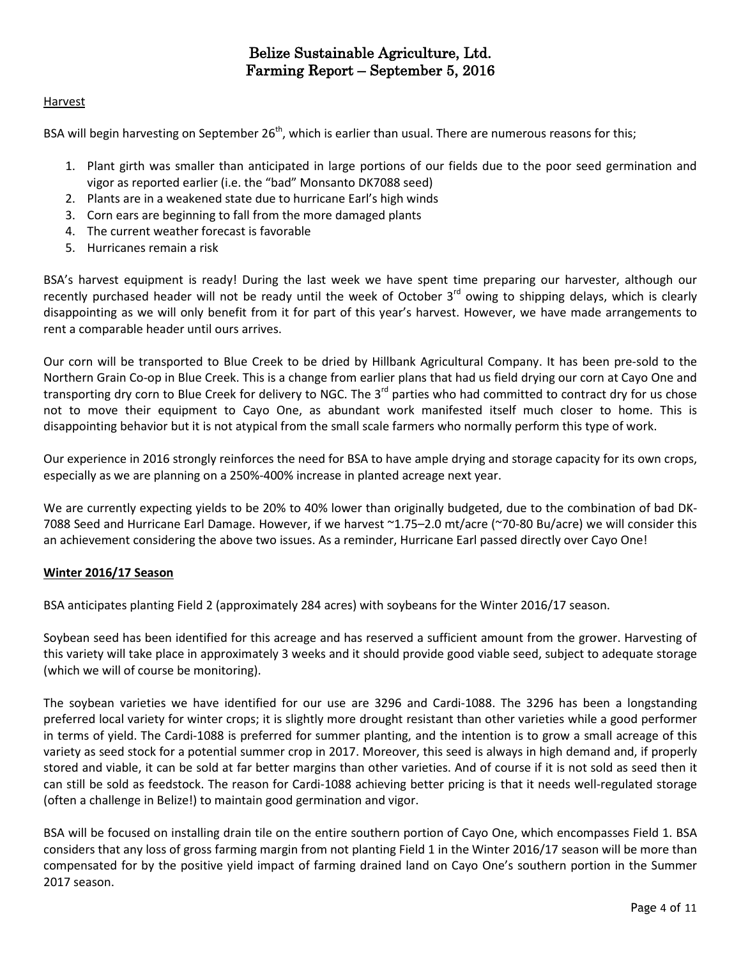# Harvest

BSA will begin harvesting on September 26<sup>th</sup>, which is earlier than usual. There are numerous reasons for this;

- 1. Plant girth was smaller than anticipated in large portions of our fields due to the poor seed germination and vigor as reported earlier (i.e. the "bad" Monsanto DK7088 seed)
- 2. Plants are in a weakened state due to hurricane Earl's high winds
- 3. Corn ears are beginning to fall from the more damaged plants
- 4. The current weather forecast is favorable
- 5. Hurricanes remain a risk

BSA's harvest equipment is ready! During the last week we have spent time preparing our harvester, although our recently purchased header will not be ready until the week of October 3<sup>rd</sup> owing to shipping delays, which is clearly disappointing as we will only benefit from it for part of this year's harvest. However, we have made arrangements to rent a comparable header until ours arrives.

Our corn will be transported to Blue Creek to be dried by Hillbank Agricultural Company. It has been pre-sold to the Northern Grain Co-op in Blue Creek. This is a change from earlier plans that had us field drying our corn at Cayo One and transporting dry corn to Blue Creek for delivery to NGC. The 3<sup>rd</sup> parties who had committed to contract dry for us chose not to move their equipment to Cayo One, as abundant work manifested itself much closer to home. This is disappointing behavior but it is not atypical from the small scale farmers who normally perform this type of work.

Our experience in 2016 strongly reinforces the need for BSA to have ample drying and storage capacity for its own crops, especially as we are planning on a 250%-400% increase in planted acreage next year.

We are currently expecting yields to be 20% to 40% lower than originally budgeted, due to the combination of bad DK-7088 Seed and Hurricane Earl Damage. However, if we harvest ~1.75–2.0 mt/acre (~70-80 Bu/acre) we will consider this an achievement considering the above two issues. As a reminder, Hurricane Earl passed directly over Cayo One!

# **Winter 2016/17 Season**

BSA anticipates planting Field 2 (approximately 284 acres) with soybeans for the Winter 2016/17 season.

Soybean seed has been identified for this acreage and has reserved a sufficient amount from the grower. Harvesting of this variety will take place in approximately 3 weeks and it should provide good viable seed, subject to adequate storage (which we will of course be monitoring).

The soybean varieties we have identified for our use are 3296 and Cardi-1088. The 3296 has been a longstanding preferred local variety for winter crops; it is slightly more drought resistant than other varieties while a good performer in terms of yield. The Cardi-1088 is preferred for summer planting, and the intention is to grow a small acreage of this variety as seed stock for a potential summer crop in 2017. Moreover, this seed is always in high demand and, if properly stored and viable, it can be sold at far better margins than other varieties. And of course if it is not sold as seed then it can still be sold as feedstock. The reason for Cardi-1088 achieving better pricing is that it needs well-regulated storage (often a challenge in Belize!) to maintain good germination and vigor.

BSA will be focused on installing drain tile on the entire southern portion of Cayo One, which encompasses Field 1. BSA considers that any loss of gross farming margin from not planting Field 1 in the Winter 2016/17 season will be more than compensated for by the positive yield impact of farming drained land on Cayo One's southern portion in the Summer 2017 season.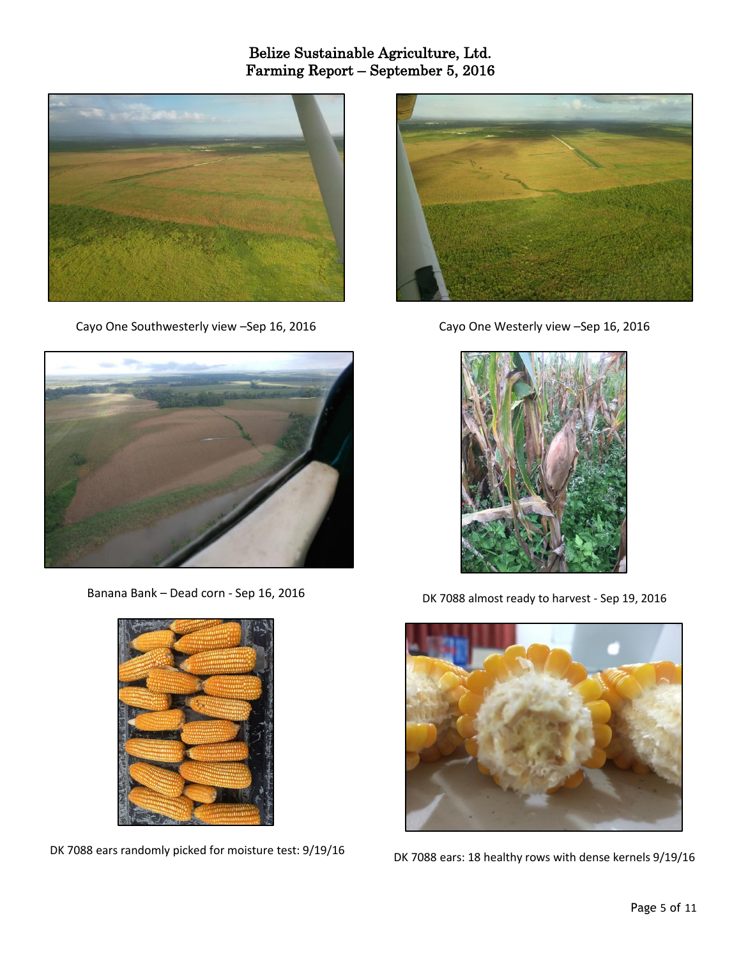

Cayo One Southwesterly view –Sep 16, 2016



Banana Bank – Dead corn - Sep 16, 2016



DK 7088 ears randomly picked for moisture test: 9/19/16



Cayo One Westerly view –Sep 16, 2016



DK 7088 almost ready to harvest - Sep 19, 2016



DK 7088 ears: 18 healthy rows with dense kernels 9/19/16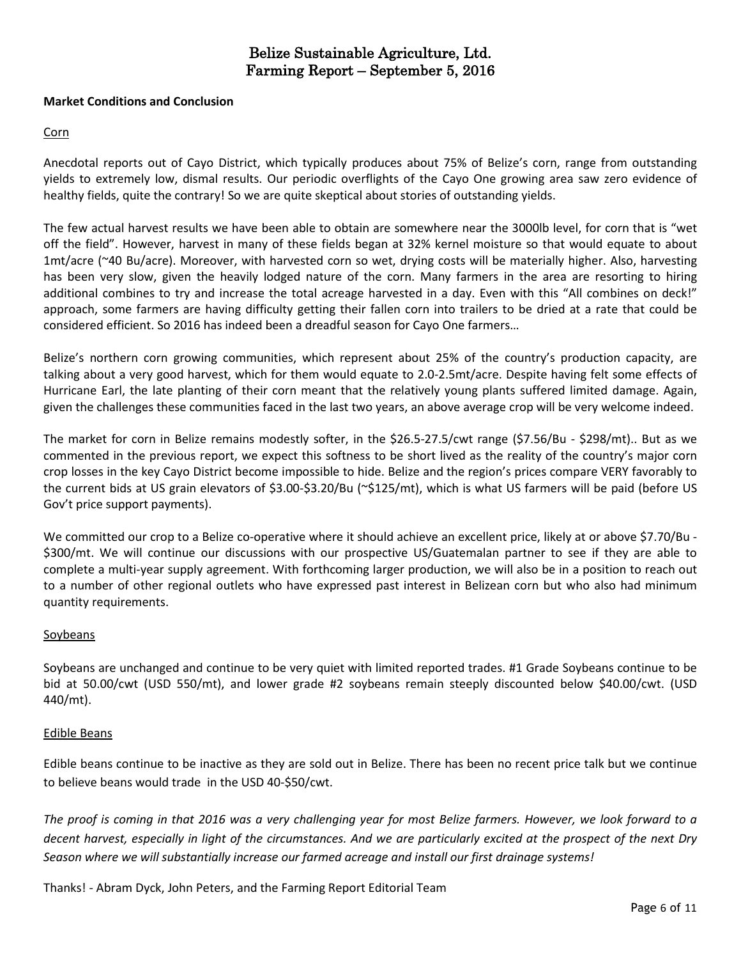## **Market Conditions and Conclusion**

# Corn

Anecdotal reports out of Cayo District, which typically produces about 75% of Belize's corn, range from outstanding yields to extremely low, dismal results. Our periodic overflights of the Cayo One growing area saw zero evidence of healthy fields, quite the contrary! So we are quite skeptical about stories of outstanding yields.

The few actual harvest results we have been able to obtain are somewhere near the 3000lb level, for corn that is "wet off the field". However, harvest in many of these fields began at 32% kernel moisture so that would equate to about 1mt/acre (~40 Bu/acre). Moreover, with harvested corn so wet, drying costs will be materially higher. Also, harvesting has been very slow, given the heavily lodged nature of the corn. Many farmers in the area are resorting to hiring additional combines to try and increase the total acreage harvested in a day. Even with this "All combines on deck!" approach, some farmers are having difficulty getting their fallen corn into trailers to be dried at a rate that could be considered efficient. So 2016 has indeed been a dreadful season for Cayo One farmers…

Belize's northern corn growing communities, which represent about 25% of the country's production capacity, are talking about a very good harvest, which for them would equate to 2.0-2.5mt/acre. Despite having felt some effects of Hurricane Earl, the late planting of their corn meant that the relatively young plants suffered limited damage. Again, given the challenges these communities faced in the last two years, an above average crop will be very welcome indeed.

The market for corn in Belize remains modestly softer, in the \$26.5-27.5/cwt range (\$7.56/Bu - \$298/mt).. But as we commented in the previous report, we expect this softness to be short lived as the reality of the country's major corn crop losses in the key Cayo District become impossible to hide. Belize and the region's prices compare VERY favorably to the current bids at US grain elevators of \$3.00-\$3.20/Bu (~\$125/mt), which is what US farmers will be paid (before US Gov't price support payments).

We committed our crop to a Belize co-operative where it should achieve an excellent price, likely at or above \$7.70/Bu -\$300/mt. We will continue our discussions with our prospective US/Guatemalan partner to see if they are able to complete a multi-year supply agreement. With forthcoming larger production, we will also be in a position to reach out to a number of other regional outlets who have expressed past interest in Belizean corn but who also had minimum quantity requirements.

#### Soybeans

Soybeans are unchanged and continue to be very quiet with limited reported trades. #1 Grade Soybeans continue to be bid at 50.00/cwt (USD 550/mt), and lower grade #2 soybeans remain steeply discounted below \$40.00/cwt. (USD 440/mt).

#### Edible Beans

Edible beans continue to be inactive as they are sold out in Belize. There has been no recent price talk but we continue to believe beans would trade in the USD 40-\$50/cwt.

The proof is coming in that 2016 was a very challenging year for most Belize farmers. However, we look forward to a decent harvest, especially in light of the circumstances. And we are particularly excited at the prospect of the next Dry *Season where we will substantially increase our farmed acreage and install our first drainage systems!*

Thanks! - Abram Dyck, John Peters, and the Farming Report Editorial Team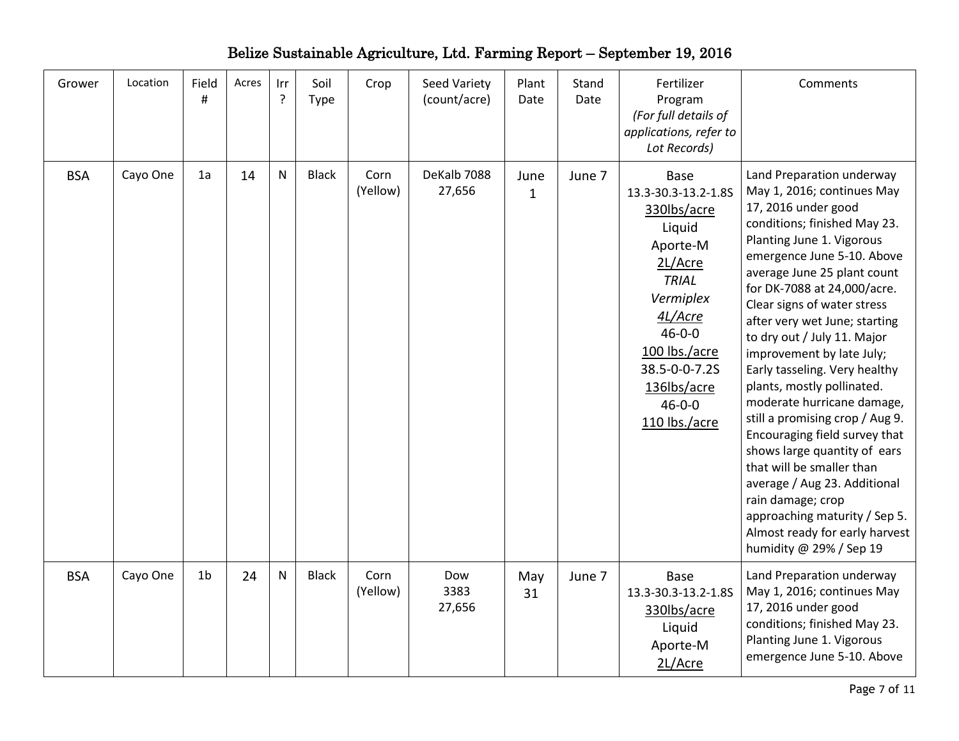| Belize Sustainable Agriculture, Ltd. Farming Report – September 19, 2016 |  |
|--------------------------------------------------------------------------|--|
|--------------------------------------------------------------------------|--|

| Grower     | Location | Field<br>#     | Acres | Irr<br>?  | Soil<br><b>Type</b> | Crop             | Seed Variety<br>(count/acre) | Plant<br>Date        | Stand<br>Date | Fertilizer<br>Program<br>(For full details of<br>applications, refer to<br>Lot Records)                                                                                                                                      | Comments                                                                                                                                                                                                                                                                                                                                                                                                                                                                                                                                                                                                                                                                                                                                             |
|------------|----------|----------------|-------|-----------|---------------------|------------------|------------------------------|----------------------|---------------|------------------------------------------------------------------------------------------------------------------------------------------------------------------------------------------------------------------------------|------------------------------------------------------------------------------------------------------------------------------------------------------------------------------------------------------------------------------------------------------------------------------------------------------------------------------------------------------------------------------------------------------------------------------------------------------------------------------------------------------------------------------------------------------------------------------------------------------------------------------------------------------------------------------------------------------------------------------------------------------|
| <b>BSA</b> | Cayo One | 1a             | 14    | ${\sf N}$ | <b>Black</b>        | Corn<br>(Yellow) | DeKalb 7088<br>27,656        | June<br>$\mathbf{1}$ | June 7        | <b>Base</b><br>13.3-30.3-13.2-1.8S<br>330lbs/acre<br>Liquid<br>Aporte-M<br>2L/Acre<br><b>TRIAL</b><br>Vermiplex<br>4L/Acre<br>$46 - 0 - 0$<br>100 lbs./acre<br>38.5-0-0-7.2S<br>136lbs/acre<br>$46 - 0 - 0$<br>110 lbs./acre | Land Preparation underway<br>May 1, 2016; continues May<br>17, 2016 under good<br>conditions; finished May 23.<br>Planting June 1. Vigorous<br>emergence June 5-10. Above<br>average June 25 plant count<br>for DK-7088 at 24,000/acre.<br>Clear signs of water stress<br>after very wet June; starting<br>to dry out / July 11. Major<br>improvement by late July;<br>Early tasseling. Very healthy<br>plants, mostly pollinated.<br>moderate hurricane damage,<br>still a promising crop / Aug 9.<br>Encouraging field survey that<br>shows large quantity of ears<br>that will be smaller than<br>average / Aug 23. Additional<br>rain damage; crop<br>approaching maturity / Sep 5.<br>Almost ready for early harvest<br>humidity @ 29% / Sep 19 |
| <b>BSA</b> | Cayo One | 1 <sub>b</sub> | 24    | ${\sf N}$ | <b>Black</b>        | Corn<br>(Yellow) | Dow<br>3383<br>27,656        | May<br>31            | June 7        | Base<br>13.3-30.3-13.2-1.8S<br>330lbs/acre<br>Liquid<br>Aporte-M<br>2L/Acre                                                                                                                                                  | Land Preparation underway<br>May 1, 2016; continues May<br>17, 2016 under good<br>conditions; finished May 23.<br>Planting June 1. Vigorous<br>emergence June 5-10. Above                                                                                                                                                                                                                                                                                                                                                                                                                                                                                                                                                                            |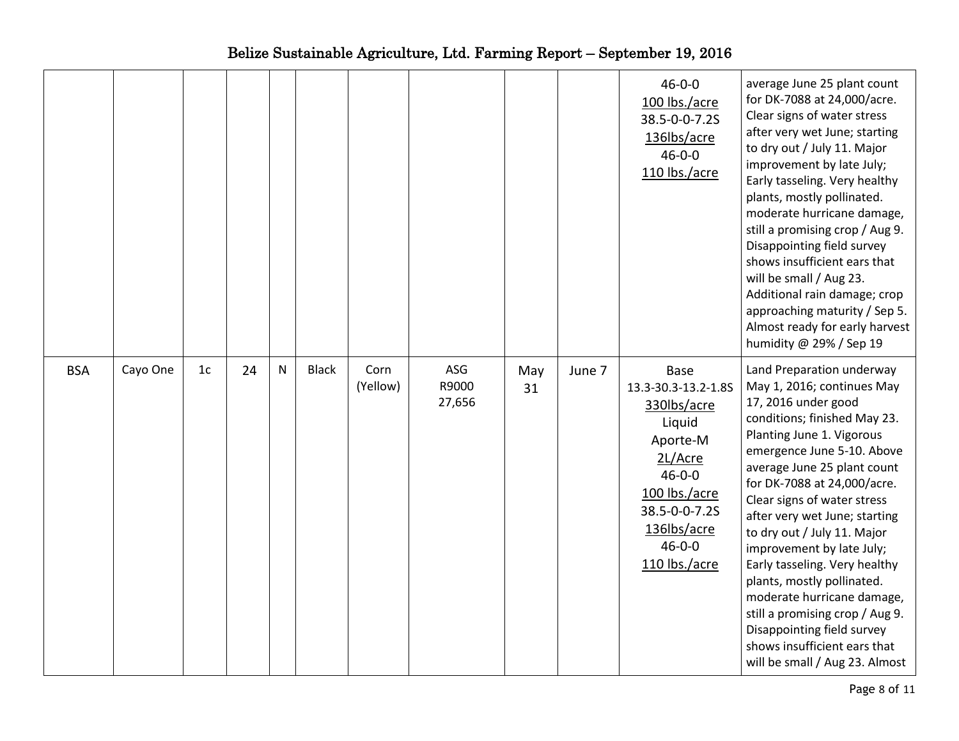|            |          |                |    |           |              |                  |                        |           |        | $46 - 0 - 0$<br>100 lbs./acre<br>38.5-0-0-7.2S<br>136lbs/acre<br>$46 - 0 - 0$<br>110 lbs./acre                                                                                | average June 25 plant count<br>for DK-7088 at 24,000/acre.<br>Clear signs of water stress<br>after very wet June; starting<br>to dry out / July 11. Major<br>improvement by late July;<br>Early tasseling. Very healthy<br>plants, mostly pollinated.<br>moderate hurricane damage,<br>still a promising crop / Aug 9.<br>Disappointing field survey<br>shows insufficient ears that<br>will be small / Aug 23.<br>Additional rain damage; crop<br>approaching maturity / Sep 5.<br>Almost ready for early harvest<br>humidity @ 29% / Sep 19                                                       |
|------------|----------|----------------|----|-----------|--------------|------------------|------------------------|-----------|--------|-------------------------------------------------------------------------------------------------------------------------------------------------------------------------------|-----------------------------------------------------------------------------------------------------------------------------------------------------------------------------------------------------------------------------------------------------------------------------------------------------------------------------------------------------------------------------------------------------------------------------------------------------------------------------------------------------------------------------------------------------------------------------------------------------|
| <b>BSA</b> | Cayo One | 1 <sub>c</sub> | 24 | ${\sf N}$ | <b>Black</b> | Corn<br>(Yellow) | ASG<br>R9000<br>27,656 | May<br>31 | June 7 | Base<br>13.3-30.3-13.2-1.8S<br>330lbs/acre<br>Liquid<br>Aporte-M<br>2L/Acre<br>$46 - 0 - 0$<br>100 lbs./acre<br>38.5-0-0-7.2S<br>136lbs/acre<br>$46 - 0 - 0$<br>110 lbs./acre | Land Preparation underway<br>May 1, 2016; continues May<br>17, 2016 under good<br>conditions; finished May 23.<br>Planting June 1. Vigorous<br>emergence June 5-10. Above<br>average June 25 plant count<br>for DK-7088 at 24,000/acre.<br>Clear signs of water stress<br>after very wet June; starting<br>to dry out / July 11. Major<br>improvement by late July;<br>Early tasseling. Very healthy<br>plants, mostly pollinated.<br>moderate hurricane damage,<br>still a promising crop / Aug 9.<br>Disappointing field survey<br>shows insufficient ears that<br>will be small / Aug 23. Almost |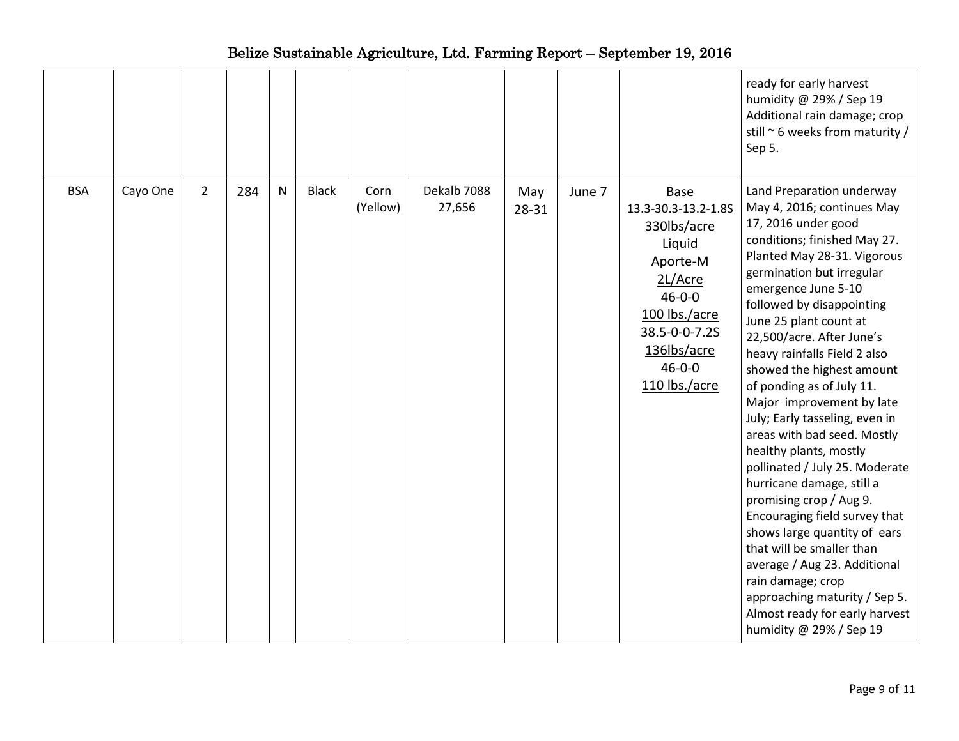|            |          |                |     |              |              |                  |                       |              |        |                                                                                                                                                                                      | ready for early harvest<br>humidity @ 29% / Sep 19<br>Additional rain damage; crop<br>still ~ 6 weeks from maturity /<br>Sep 5.                                                                                                                                                                                                                                                                                                                                                                                                                                                                                                                                                                                                                                                                                                                    |
|------------|----------|----------------|-----|--------------|--------------|------------------|-----------------------|--------------|--------|--------------------------------------------------------------------------------------------------------------------------------------------------------------------------------------|----------------------------------------------------------------------------------------------------------------------------------------------------------------------------------------------------------------------------------------------------------------------------------------------------------------------------------------------------------------------------------------------------------------------------------------------------------------------------------------------------------------------------------------------------------------------------------------------------------------------------------------------------------------------------------------------------------------------------------------------------------------------------------------------------------------------------------------------------|
| <b>BSA</b> | Cayo One | $\overline{2}$ | 284 | $\mathsf{N}$ | <b>Black</b> | Corn<br>(Yellow) | Dekalb 7088<br>27,656 | May<br>28-31 | June 7 | <b>Base</b><br>13.3-30.3-13.2-1.8S<br>330lbs/acre<br>Liquid<br>Aporte-M<br>2L/Acre<br>$46 - 0 - 0$<br>100 lbs./acre<br>38.5-0-0-7.2S<br>136lbs/acre<br>$46 - 0 - 0$<br>110 lbs./acre | Land Preparation underway<br>May 4, 2016; continues May<br>17, 2016 under good<br>conditions; finished May 27.<br>Planted May 28-31. Vigorous<br>germination but irregular<br>emergence June 5-10<br>followed by disappointing<br>June 25 plant count at<br>22,500/acre. After June's<br>heavy rainfalls Field 2 also<br>showed the highest amount<br>of ponding as of July 11.<br>Major improvement by late<br>July; Early tasseling, even in<br>areas with bad seed. Mostly<br>healthy plants, mostly<br>pollinated / July 25. Moderate<br>hurricane damage, still a<br>promising crop / Aug 9.<br>Encouraging field survey that<br>shows large quantity of ears<br>that will be smaller than<br>average / Aug 23. Additional<br>rain damage; crop<br>approaching maturity / Sep 5.<br>Almost ready for early harvest<br>humidity @ 29% / Sep 19 |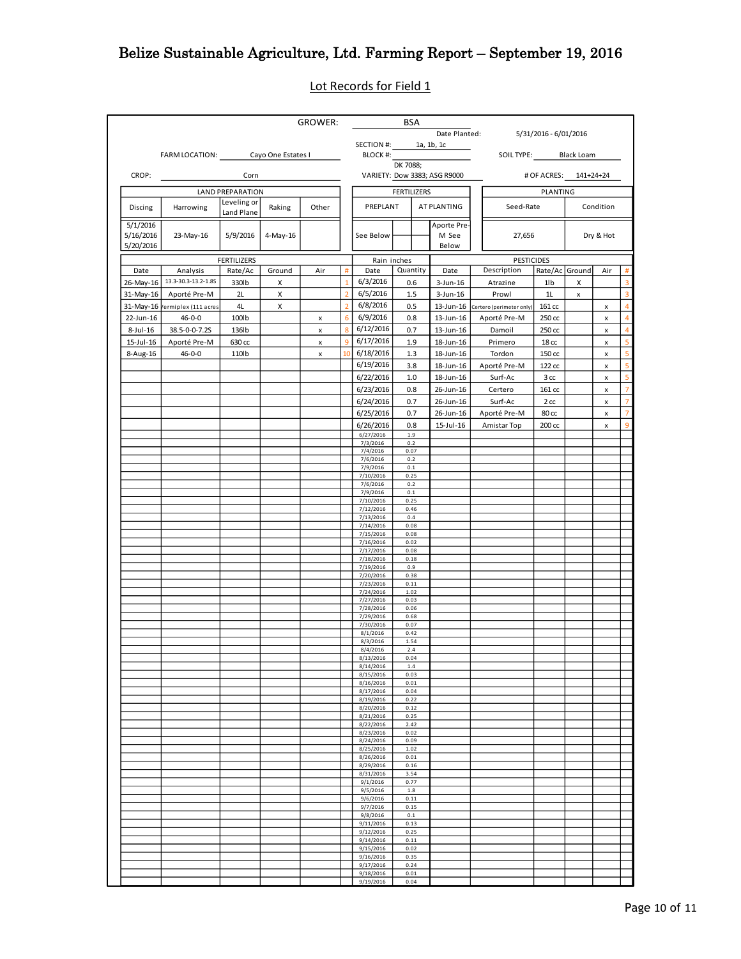Lot Records for Field 1

|              |                                             |                           |        | GROWER: |                |                        | BSA                                                               |          |                              |                                    |                       |                   |               |                     |
|--------------|---------------------------------------------|---------------------------|--------|---------|----------------|------------------------|-------------------------------------------------------------------|----------|------------------------------|------------------------------------|-----------------------|-------------------|---------------|---------------------|
|              |                                             |                           |        |         |                |                        | Date Planted:<br>5/31/2016 - 6/01/2016<br>SECTION #: $1a, 1b, 1c$ |          |                              |                                    |                       |                   |               |                     |
|              | FARM LOCATION: _________ Cayo One Estates I |                           |        |         |                | BLOCK #:               |                                                                   |          |                              | SOIL TYPE: Black Loam              |                       |                   |               |                     |
|              |                                             |                           |        |         |                |                        | DK 7088;                                                          |          |                              |                                    |                       |                   |               |                     |
| CROP:        |                                             | <b>Corn</b>               |        |         |                |                        |                                                                   |          | VARIETY: Dow 3383; ASG R9000 |                                    | # OF ACRES: 141+24+24 |                   |               |                     |
|              |                                             | <b>LAND PREPARATION</b>   |        |         |                |                        | <b>FERTILIZERS</b>                                                |          |                              |                                    | PLANTING              |                   |               |                     |
| Discing      | Harrowing                                   | Leveling or<br>Land Plane | Raking | Other   |                | PREPLANT               |                                                                   |          | AT PLANTING                  | Seed-Rate                          |                       |                   | Condition     |                     |
| 5/1/2016     |                                             |                           |        |         |                |                        |                                                                   |          | Aporte Pre-                  |                                    |                       |                   |               |                     |
| 5/16/2016    | 23-May-16                                   | 5/9/2016 4-May-16         |        |         |                | See Below              |                                                                   |          | M See                        | 27,656                             |                       | Dry & Hot         |               |                     |
| 5/20/2016    |                                             |                           |        |         |                |                        |                                                                   |          | Below                        |                                    |                       |                   |               |                     |
|              |                                             | <b>FERTILIZERS</b>        |        |         |                | Rain inches            |                                                                   |          |                              | <b>PESTICIDES</b>                  |                       | Air               |               |                     |
| Date         | Analysis<br>26-May-16 13.3-30.3-13.2-1.8S   | Rate/Ac                   | Ground | Air     | $\overline{1}$ | Date<br>6/3/2016       |                                                                   | Quantity | Date                         | Description                        | Rate/Ac Ground        |                   |               | #<br>$\overline{3}$ |
|              | 31-May-16 Aporté Pre-M                      | 330lb<br>2L               | X<br>x |         |                | 6/5/2016               | 0.6<br>1.5                                                        |          | $3$ -Jun-16<br>3-Jun-16      | Atrazine<br>Prowl                  | 1lb<br>1L             | X<br>$\mathsf{x}$ |               | $\overline{3}$      |
|              | 31-May-16 /ermiplex (111 acres              | 4L                        | X      |         | $\overline{2}$ | 6/8/2016               | 0.5                                                               |          |                              | 13-Jun-16 Certero (perimeter only) | 161 cc                |                   | <b>X</b>      | $\overline{4}$      |
|              | 22-Jun-16 46-0-0                            | 100lb                     |        | x       | 6              | 6/9/2016               |                                                                   | 0.8      | 13-Jun-16                    | Aporté Pre-M                       | 250 cc                |                   | x             | $\overline{4}$      |
| 8-Jul-16     | 38.5-0-0-7.2S                               | 136lb                     |        | x       | 8              | 6/12/2016              | 0.7                                                               |          | 13-Jun-16                    | Damoil                             | 250 cc                |                   | x             | $\overline{4}$      |
| $15$ -Jul-16 | Aporté Pre-M                                | 630 cc                    |        | x       | 9              | 6/17/2016              | 1.9                                                               |          | 18-Jun-16                    | Primero                            | 18 cc                 |                   | x             | 5 <sup>1</sup>      |
| 8-Aug-16     | 46-0-0                                      | 110lb                     |        | x       | 10             | 6/18/2016              | 1.3                                                               |          | 18-Jun-16                    | Tordon                             | 150 cc                |                   | x             | 5                   |
|              |                                             |                           |        |         |                | 6/19/2016              | 3.8                                                               |          | 18-Jun-16                    | Aporté Pre-M                       | 122 cc                |                   | x             | 5<br>5 <sup>1</sup> |
|              |                                             |                           |        |         |                | 6/22/2016<br>6/23/2016 | 1.0<br>0.8                                                        |          | 18-Jun-16<br>26-Jun-16       | Surf-Ac<br>Certero                 | 3cc<br>161 cc         |                   | $\mathsf{x}$  | $\overline{7}$      |
|              |                                             |                           |        |         |                | 6/24/2016              | 0.7                                                               |          | 26-Jun-16                    | Surf-Ac                            | 2cc                   |                   | x<br><b>X</b> | $\overline{7}$      |
|              |                                             |                           |        |         |                | 6/25/2016              | 0.7                                                               |          | 26-Jun-16                    | Aporté Pre-M                       | 80 cc                 |                   | x             | $\overline{7}$      |
|              |                                             |                           |        |         |                | 6/26/2016              | 0.8                                                               |          | 15-Jul-16                    | Amistar Top                        | 200 cc                |                   | $\mathsf{x}$  | $\overline{9}$      |
|              |                                             |                           |        |         |                | 6/27/2016<br>7/3/2016  | 1.9<br>0.2                                                        |          |                              |                                    |                       |                   |               |                     |
|              |                                             |                           |        |         |                | 7/4/2016               | 0.07                                                              |          |                              |                                    |                       |                   |               |                     |
|              |                                             |                           |        |         |                | 7/6/2016<br>7/9/2016   | 0.2<br>0.1                                                        |          |                              |                                    |                       |                   |               |                     |
|              |                                             |                           |        |         |                | 7/10/2016              | 0.25                                                              |          |                              |                                    |                       |                   |               |                     |
|              |                                             |                           |        |         |                | 7/6/2016<br>7/9/2016   | 0.2<br>0.1                                                        |          |                              |                                    |                       |                   |               |                     |
|              |                                             |                           |        |         |                | 7/10/2016<br>7/12/2016 | 0.25<br>0.46                                                      |          |                              |                                    |                       |                   |               |                     |
|              |                                             |                           |        |         |                | 7/13/2016              | 0.4                                                               |          |                              |                                    |                       |                   |               |                     |
|              |                                             |                           |        |         |                | 7/14/2016<br>7/15/2016 | 0.08<br>0.08                                                      |          |                              |                                    |                       |                   |               |                     |
|              |                                             |                           |        |         |                | 7/16/2016<br>7/17/2016 | 0.02<br>0.08                                                      |          |                              |                                    |                       |                   |               |                     |
|              |                                             |                           |        |         |                | 7/18/2016              | 0.18                                                              |          |                              |                                    |                       |                   |               |                     |
|              |                                             |                           |        |         |                | 7/19/2016<br>7/20/2016 | 0.9<br>0.38                                                       |          |                              |                                    |                       |                   |               |                     |
|              |                                             |                           |        |         |                | 7/23/2016              | 0.11                                                              |          |                              |                                    |                       |                   |               |                     |
|              |                                             |                           |        |         |                | 7/24/2016<br>7/27/2016 | 1.02<br>0.03                                                      |          |                              |                                    |                       |                   |               |                     |
|              |                                             |                           |        |         |                | 7/28/2016<br>7/29/2016 | 0.06<br>0.68                                                      |          |                              |                                    |                       |                   |               |                     |
|              |                                             |                           |        |         |                | 7/30/2016              | 0.07                                                              |          |                              |                                    |                       |                   |               |                     |
|              |                                             |                           |        |         |                | 8/1/2016<br>8/3/2016   | 0.42<br>1.54                                                      |          |                              |                                    |                       |                   |               |                     |
|              |                                             |                           |        |         |                | 8/4/2016               | 2.4                                                               |          |                              |                                    |                       |                   |               |                     |
|              |                                             |                           |        |         |                | 8/13/2016<br>8/14/2016 | 0.04<br>1.4                                                       |          |                              |                                    |                       |                   |               |                     |
|              |                                             |                           |        |         |                | 8/15/2016<br>8/16/2016 | 0.03<br>0.01                                                      |          |                              |                                    |                       |                   |               |                     |
|              |                                             |                           |        |         |                | 8/17/2016              | 0.04                                                              |          |                              |                                    |                       |                   |               |                     |
|              |                                             |                           |        |         |                | 8/19/2016<br>8/20/2016 | 0.22<br>0.12                                                      |          |                              |                                    |                       |                   |               |                     |
|              |                                             |                           |        |         |                | 8/21/2016<br>8/22/2016 | 0.25<br>2.42                                                      |          |                              |                                    |                       |                   |               |                     |
|              |                                             |                           |        |         |                | 8/23/2016              | 0.02                                                              |          |                              |                                    |                       |                   |               |                     |
|              |                                             |                           |        |         |                | 8/24/2016<br>8/25/2016 | 0.09<br>1.02                                                      |          |                              |                                    |                       |                   |               |                     |
|              |                                             |                           |        |         |                | 8/26/2016              | 0.01                                                              |          |                              |                                    |                       |                   |               |                     |
|              |                                             |                           |        |         |                | 8/29/2016<br>8/31/2016 | 0.16<br>3.54                                                      |          |                              |                                    |                       |                   |               |                     |
|              |                                             |                           |        |         |                | 9/1/2016<br>9/5/2016   | 0.77<br>1.8                                                       |          |                              |                                    |                       |                   |               |                     |
|              |                                             |                           |        |         |                | 9/6/2016               | 0.11                                                              |          |                              |                                    |                       |                   |               |                     |
|              |                                             |                           |        |         |                | 9/7/2016<br>9/8/2016   | 0.15<br>$0.1\,$                                                   |          |                              |                                    |                       |                   |               |                     |
|              |                                             |                           |        |         |                | 9/11/2016              | 0.13                                                              |          |                              |                                    |                       |                   |               |                     |
|              |                                             |                           |        |         |                | 9/12/2016<br>9/14/2016 | 0.25<br>0.11                                                      |          |                              |                                    |                       |                   |               |                     |
|              |                                             |                           |        |         |                | 9/15/2016<br>9/16/2016 | 0.02<br>0.35                                                      |          |                              |                                    |                       |                   |               |                     |
|              |                                             |                           |        |         |                | 9/17/2016              | 0.24                                                              |          |                              |                                    |                       |                   |               |                     |
|              |                                             |                           |        |         |                | 9/18/2016<br>9/19/2016 | 0.01<br>0.04                                                      |          |                              |                                    |                       |                   |               |                     |